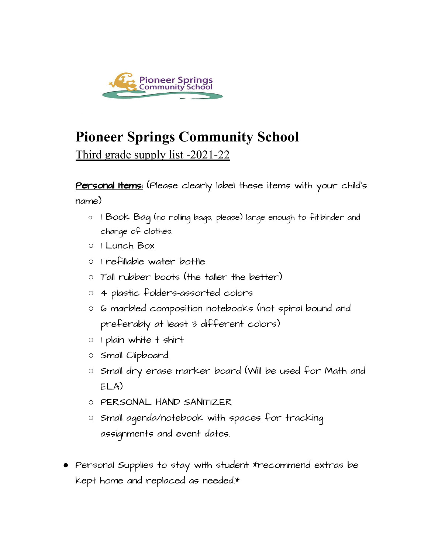

## **Pioneer Springs Community School**

Third grade supply list -2021-22

Personal Items: (Please clearly label these items with your child's name)

- $\circ$  1 Book Baq (no rolling bags, please) large enough to fit:binder and change of clothes.
- 1 Lunch Box
- 1 refillable water bottle
- Tall rubber boots (the taller the better)
- 4 plastic folders-assorted colors
- 6 marbled composition notebooks (not spiral bound and preferably at least 3 different colors)
- 1 plain white t shirt
- Small Clipboard.
- Small dry erase marker board (Will be used for Math and ELA)
- PERSONAL HAND SANITIZER
- Small agenda/notebook with spaces for tracking assignments and event dates.
- Personal Supplies to stay with student \*recommend extras be kept home and replaced as needed.\*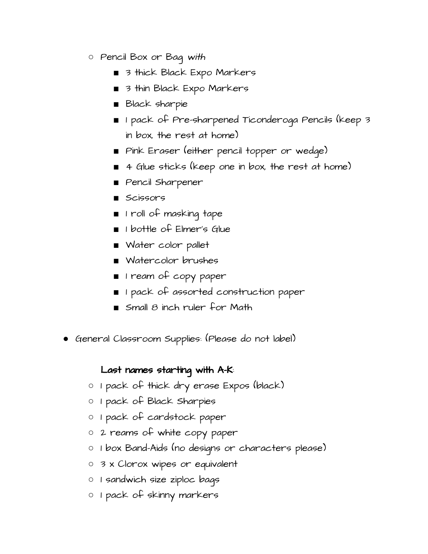- Pencil Box or Bag with
	- 3 thick Black Expo Markers
	- 3 thin Black Expo Markers
	- Black sharpie
	- 1 pack of Pre-sharpened Ticonderoga Pencils (keep 3 in box, the rest at home)
	- Pink Eraser (either pencil topper or wedge)
	- 4 Glue sticks (keep one in box, the rest at home)
	- Pencil Sharpener
	- Scissors
	- 1 roll of masking tape
	- 1 bottle of Elmer's Glue
	- Water color pallet
	- Watercolor brushes
	- 1 ream of copy paper
	- 1 pack of assorted construction paper
	- $\blacksquare$  Small  $\beta$  inch ruler for Math
- General Classroom Supplies: (Please do not label)

## Last names starting with A-K:

- 1 pack of thick dry erase Expos (black)
- 1 pack of Black Sharpies
- 1 pack of cardstock paper
- 2 reams of white copy paper
- 1 box Band-Aids (no designs or characters please)
- 3 x Clorox wipes or equivalent
- 1 sandwich size ziploc bags
- 1 pack of skinny markers